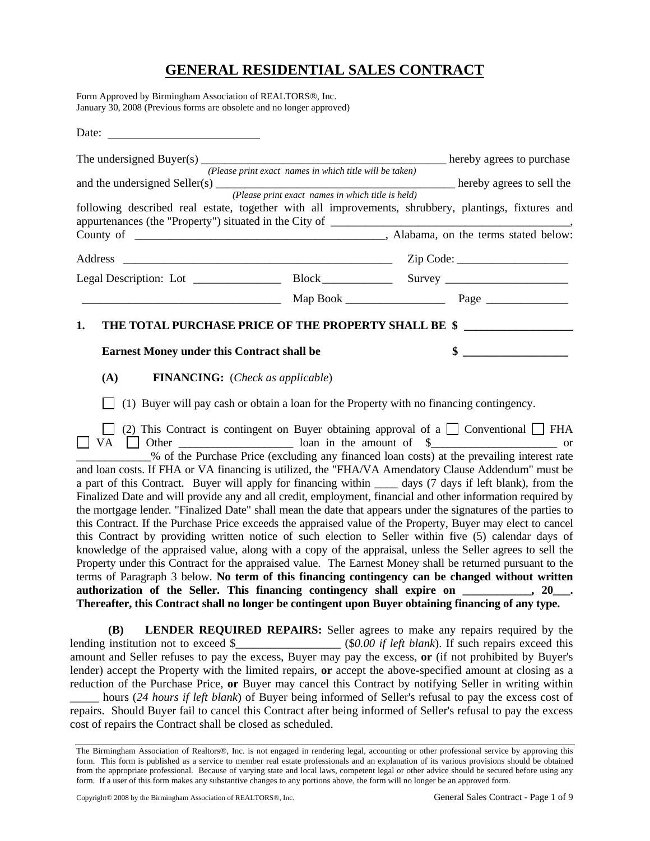# **GENERAL RESIDENTIAL SALES CONTRACT**

Form Approved by Birmingham Association of REALTORS®, Inc. January 30, 2008 (Previous forms are obsolete and no longer approved)

| Date: $\frac{1}{\sqrt{1-\frac{1}{2}} \cdot \frac{1}{2}}$                                                  |                                                         |                                                                                                                                                                                                                                                                                                                                                                                                                                                                                                                                                                                                                                                                                                                                                                                                                                                                                                                                                                                                                                                                                                                                                                                                                                                                                                                                                                                                                                                                                                    |
|-----------------------------------------------------------------------------------------------------------|---------------------------------------------------------|----------------------------------------------------------------------------------------------------------------------------------------------------------------------------------------------------------------------------------------------------------------------------------------------------------------------------------------------------------------------------------------------------------------------------------------------------------------------------------------------------------------------------------------------------------------------------------------------------------------------------------------------------------------------------------------------------------------------------------------------------------------------------------------------------------------------------------------------------------------------------------------------------------------------------------------------------------------------------------------------------------------------------------------------------------------------------------------------------------------------------------------------------------------------------------------------------------------------------------------------------------------------------------------------------------------------------------------------------------------------------------------------------------------------------------------------------------------------------------------------------|
|                                                                                                           |                                                         |                                                                                                                                                                                                                                                                                                                                                                                                                                                                                                                                                                                                                                                                                                                                                                                                                                                                                                                                                                                                                                                                                                                                                                                                                                                                                                                                                                                                                                                                                                    |
|                                                                                                           | (Please print exact names in which title will be taken) | and the undersigned Seller(s) $\frac{P_{\text{lease print exact names in which title is held}}{P_{\text{leage print exact names in which title is held}}}$ hereby agrees to sell the                                                                                                                                                                                                                                                                                                                                                                                                                                                                                                                                                                                                                                                                                                                                                                                                                                                                                                                                                                                                                                                                                                                                                                                                                                                                                                               |
|                                                                                                           |                                                         | following described real estate, together with all improvements, shrubbery, plantings, fixtures and                                                                                                                                                                                                                                                                                                                                                                                                                                                                                                                                                                                                                                                                                                                                                                                                                                                                                                                                                                                                                                                                                                                                                                                                                                                                                                                                                                                                |
|                                                                                                           |                                                         |                                                                                                                                                                                                                                                                                                                                                                                                                                                                                                                                                                                                                                                                                                                                                                                                                                                                                                                                                                                                                                                                                                                                                                                                                                                                                                                                                                                                                                                                                                    |
|                                                                                                           |                                                         |                                                                                                                                                                                                                                                                                                                                                                                                                                                                                                                                                                                                                                                                                                                                                                                                                                                                                                                                                                                                                                                                                                                                                                                                                                                                                                                                                                                                                                                                                                    |
|                                                                                                           |                                                         |                                                                                                                                                                                                                                                                                                                                                                                                                                                                                                                                                                                                                                                                                                                                                                                                                                                                                                                                                                                                                                                                                                                                                                                                                                                                                                                                                                                                                                                                                                    |
|                                                                                                           |                                                         |                                                                                                                                                                                                                                                                                                                                                                                                                                                                                                                                                                                                                                                                                                                                                                                                                                                                                                                                                                                                                                                                                                                                                                                                                                                                                                                                                                                                                                                                                                    |
| 1.<br><b>Earnest Money under this Contract shall be</b><br>(A)<br><b>FINANCING:</b> (Check as applicable) |                                                         | THE TOTAL PURCHASE PRICE OF THE PROPERTY SHALL BE \$<br>$\frac{1}{2}$ $\frac{1}{2}$ $\frac{1}{2}$ $\frac{1}{2}$ $\frac{1}{2}$ $\frac{1}{2}$ $\frac{1}{2}$ $\frac{1}{2}$ $\frac{1}{2}$ $\frac{1}{2}$ $\frac{1}{2}$ $\frac{1}{2}$ $\frac{1}{2}$ $\frac{1}{2}$ $\frac{1}{2}$ $\frac{1}{2}$ $\frac{1}{2}$ $\frac{1}{2}$ $\frac{1}{2}$ $\frac{1}{2}$ $\frac{1}{2}$ $\frac{1}{2}$<br>(1) Buyer will pay cash or obtain a loan for the Property with no financing contingency.                                                                                                                                                                                                                                                                                                                                                                                                                                                                                                                                                                                                                                                                                                                                                                                                                                                                                                                                                                                                                            |
|                                                                                                           |                                                         | (2) This Contract is contingent on Buyer obtaining approval of a $\Box$ Conventional $\Box$ FHA<br>% of the Purchase Price (excluding any financed loan costs) at the prevailing interest rate<br>and loan costs. If FHA or VA financing is utilized, the "FHA/VA Amendatory Clause Addendum" must be<br>a part of this Contract. Buyer will apply for financing within _____ days (7 days if left blank), from the<br>Finalized Date and will provide any and all credit, employment, financial and other information required by<br>the mortgage lender. "Finalized Date" shall mean the date that appears under the signatures of the parties to<br>this Contract. If the Purchase Price exceeds the appraised value of the Property, Buyer may elect to cancel<br>this Contract by providing written notice of such election to Seller within five (5) calendar days of<br>knowledge of the appraised value, along with a copy of the appraisal, unless the Seller agrees to sell the<br>Property under this Contract for the appraised value. The Earnest Money shall be returned pursuant to the<br>terms of Paragraph 3 below. No term of this financing contingency can be changed without written<br>authorization of the Seller. This financing contingency shall expire on _________, 20__.<br>Thereafter, this Contract shall no longer be contingent upon Buyer obtaining financing of any type.<br>$(D)$ I ENDED DEQUIDED DEDAIDS. Sollar across to make any ranging required by the |

**(B) LENDER REQUIRED REPAIRS:** Seller agrees to make any repairs required by the lending institution not to exceed \$\_\_\_\_\_\_\_\_\_\_\_\_\_\_\_\_\_\_\_ (\$0.00 if left blank). If such repairs exceed this amount and Seller refuses to pay the excess, Buyer may pay the excess, **or** (if not prohibited by Buyer's lender) accept the Property with the limited repairs, **or** accept the above-specified amount at closing as a reduction of the Purchase Price, **or** Buyer may cancel this Contract by notifying Seller in writing within

\_\_\_\_\_ hours (*24 hours if left blank*) of Buyer being informed of Seller's refusal to pay the excess cost of repairs. Should Buyer fail to cancel this Contract after being informed of Seller's refusal to pay the excess cost of repairs the Contract shall be closed as scheduled.

The Birmingham Association of Realtors®, Inc. is not engaged in rendering legal, accounting or other professional service by approving this form. This form is published as a service to member real estate professionals and an explanation of its various provisions should be obtained from the appropriate professional. Because of varying state and local laws, competent legal or other advice should be secured before using any form. If a user of this form makes any substantive changes to any portions above, the form will no longer be an approved form.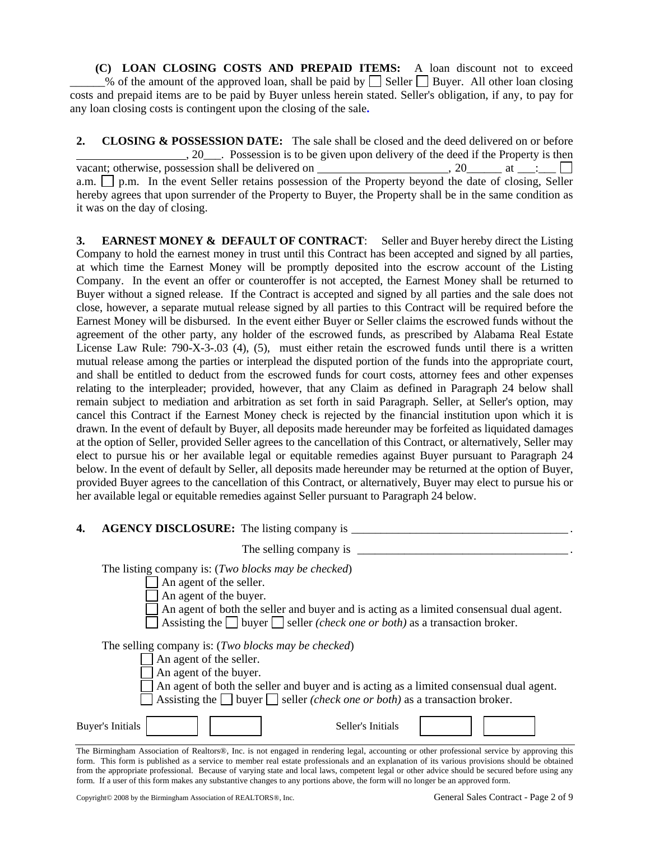**(C) LOAN CLOSING COSTS AND PREPAID ITEMS:** A loan discount not to exceed  $\frac{1}{2}$ % of the amount of the approved loan, shall be paid by  $\Box$  Seller  $\Box$  Buyer. All other loan closing costs and prepaid items are to be paid by Buyer unless herein stated. Seller's obligation, if any, to pay for any loan closing costs is contingent upon the closing of the sale**.**

**2. CLOSING & POSSESSION DATE:** The sale shall be closed and the deed delivered on or before , 20\_\_\_. Possession is to be given upon delivery of the deed if the Property is then vacant; otherwise, possession shall be delivered on  $\qquad \qquad 20$  at  $\qquad \qquad$ : a.m.  $\Box$  p.m. In the event Seller retains possession of the Property beyond the date of closing, Seller hereby agrees that upon surrender of the Property to Buyer, the Property shall be in the same condition as it was on the day of closing.

**3. EARNEST MONEY & DEFAULT OF CONTRACT**: Seller and Buyer hereby direct the Listing Company to hold the earnest money in trust until this Contract has been accepted and signed by all parties, at which time the Earnest Money will be promptly deposited into the escrow account of the Listing Company. In the event an offer or counteroffer is not accepted, the Earnest Money shall be returned to Buyer without a signed release. If the Contract is accepted and signed by all parties and the sale does not close, however, a separate mutual release signed by all parties to this Contract will be required before the Earnest Money will be disbursed. In the event either Buyer or Seller claims the escrowed funds without the agreement of the other party, any holder of the escrowed funds, as prescribed by Alabama Real Estate License Law Rule: 790-X-3-.03 (4), (5), must either retain the escrowed funds until there is a written mutual release among the parties or interplead the disputed portion of the funds into the appropriate court, and shall be entitled to deduct from the escrowed funds for court costs, attorney fees and other expenses relating to the interpleader; provided, however, that any Claim as defined in Paragraph 24 below shall remain subject to mediation and arbitration as set forth in said Paragraph. Seller, at Seller's option, may cancel this Contract if the Earnest Money check is rejected by the financial institution upon which it is drawn. In the event of default by Buyer, all deposits made hereunder may be forfeited as liquidated damages at the option of Seller, provided Seller agrees to the cancellation of this Contract, or alternatively, Seller may elect to pursue his or her available legal or equitable remedies against Buyer pursuant to Paragraph 24 below. In the event of default by Seller, all deposits made hereunder may be returned at the option of Buyer, provided Buyer agrees to the cancellation of this Contract, or alternatively, Buyer may elect to pursue his or her available legal or equitable remedies against Seller pursuant to Paragraph 24 below.

#### **4.** AGENCY DISCLOSURE: The listing company is \_\_\_\_\_\_\_\_\_\_\_\_\_\_\_\_\_\_\_\_\_\_\_\_\_\_\_\_\_\_\_\_\_\_

| The selling company is                                                                                                                                                                                                                                                                                       |  |  |  |  |  |
|--------------------------------------------------------------------------------------------------------------------------------------------------------------------------------------------------------------------------------------------------------------------------------------------------------------|--|--|--|--|--|
| The listing company is: ( <i>Two blocks may be checked</i> )<br>An agent of the seller.<br>An agent of the buyer.<br>An agent of both the seller and buyer and is acting as a limited consensual dual agent.<br>Assisting the $\Box$ buyer $\Box$ seller <i>(check one or both)</i> as a transaction broker. |  |  |  |  |  |
| The selling company is: ( <i>Two blocks may be checked</i> )<br>An agent of the seller.<br>An agent of the buyer.<br>An agent of both the seller and buyer and is acting as a limited consensual dual agent.<br>Assisting the $\Box$ buyer $\Box$ seller <i>(check one or both)</i> as a transaction broker. |  |  |  |  |  |
| <b>Buyer's Initials</b><br>Seller's Initials<br>וי ולי ולה והיום והיו ולא היה של המינה והיו היו היו היו ה                                                                                                                                                                                                    |  |  |  |  |  |

The Birmingham Association of Realtors®, Inc. is not engaged in rendering legal, accounting or other professional service by approving this form. This form is published as a service to member real estate professionals and an explanation of its various provisions should be obtained from the appropriate professional. Because of varying state and local laws, competent legal or other advice should be secured before using any form. If a user of this form makes any substantive changes to any portions above, the form will no longer be an approved form.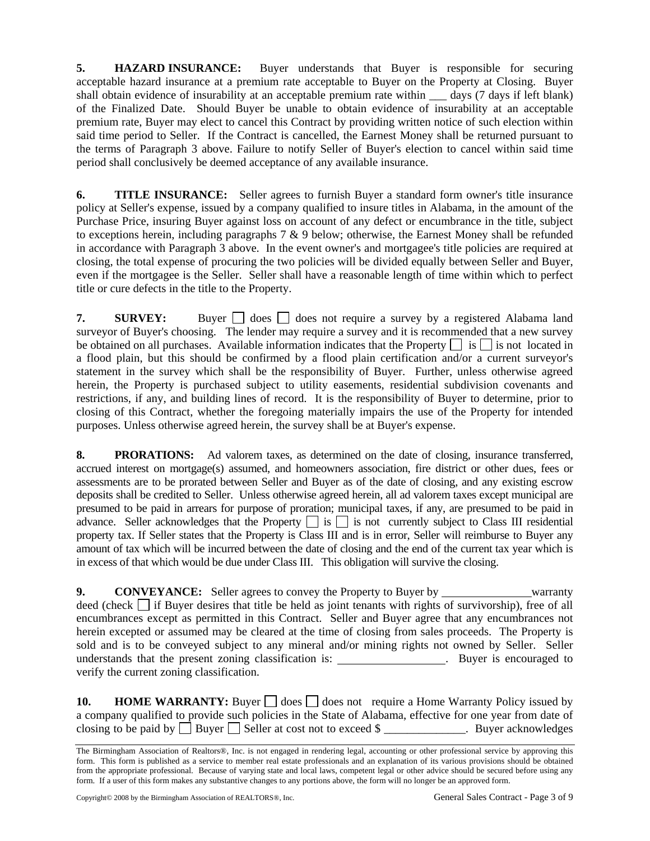**5. HAZARD INSURANCE:** Buyer understands that Buyer is responsible for securing acceptable hazard insurance at a premium rate acceptable to Buyer on the Property at Closing. Buyer shall obtain evidence of insurability at an acceptable premium rate within \_\_\_ days (7 days if left blank) of the Finalized Date. Should Buyer be unable to obtain evidence of insurability at an acceptable premium rate, Buyer may elect to cancel this Contract by providing written notice of such election within said time period to Seller. If the Contract is cancelled, the Earnest Money shall be returned pursuant to the terms of Paragraph 3 above. Failure to notify Seller of Buyer's election to cancel within said time period shall conclusively be deemed acceptance of any available insurance.

**6. TITLE INSURANCE:** Seller agrees to furnish Buyer a standard form owner's title insurance policy at Seller's expense, issued by a company qualified to insure titles in Alabama, in the amount of the Purchase Price, insuring Buyer against loss on account of any defect or encumbrance in the title, subject to exceptions herein, including paragraphs  $7 \& 9$  below; otherwise, the Earnest Money shall be refunded in accordance with Paragraph 3 above. In the event owner's and mortgagee's title policies are required at closing, the total expense of procuring the two policies will be divided equally between Seller and Buyer, even if the mortgagee is the Seller. Seller shall have a reasonable length of time within which to perfect title or cure defects in the title to the Property.

**7. SURVEY:** Buyer  $\Box$  does  $\Box$  does not require a survey by a registered Alabama land surveyor of Buyer's choosing. The lender may require a survey and it is recommended that a new survey be obtained on all purchases. Available information indicates that the Property  $\Box$  is  $\Box$  is not located in a flood plain, but this should be confirmed by a flood plain certification and/or a current surveyor's statement in the survey which shall be the responsibility of Buyer. Further, unless otherwise agreed herein, the Property is purchased subject to utility easements, residential subdivision covenants and restrictions, if any, and building lines of record. It is the responsibility of Buyer to determine, prior to closing of this Contract, whether the foregoing materially impairs the use of the Property for intended purposes. Unless otherwise agreed herein, the survey shall be at Buyer's expense.

**8. PRORATIONS:** Ad valorem taxes, as determined on the date of closing, insurance transferred, accrued interest on mortgage(s) assumed, and homeowners association, fire district or other dues, fees or assessments are to be prorated between Seller and Buyer as of the date of closing, and any existing escrow deposits shall be credited to Seller. Unless otherwise agreed herein, all ad valorem taxes except municipal are presumed to be paid in arrears for purpose of proration; municipal taxes, if any, are presumed to be paid in advance. Seller acknowledges that the Property  $\Box$  is  $\Box$  is not currently subject to Class III residential property tax. If Seller states that the Property is Class III and is in error, Seller will reimburse to Buyer any amount of tax which will be incurred between the date of closing and the end of the current tax year which is in excess of that which would be due under Class III. This obligation will survive the closing.

**9. CONVEYANCE:** Seller agrees to convey the Property to Buyer by warranty deed (check  $\Box$  if Buyer desires that title be held as joint tenants with rights of survivorship), free of all encumbrances except as permitted in this Contract. Seller and Buyer agree that any encumbrances not herein excepted or assumed may be cleared at the time of closing from sales proceeds. The Property is sold and is to be conveyed subject to any mineral and/or mining rights not owned by Seller. Seller understands that the present zoning classification is: verify the current zoning classification.

**10. <b>HOME WARRANTY:** Buyer  $\Box$  does  $\Box$  does not require a Home Warranty Policy issued by a company qualified to provide such policies in the State of Alabama, effective for one year from date of closing to be paid by  $\Box$  Buyer  $\Box$  Seller at cost not to exceed \$ \_\_\_\_\_\_\_\_\_\_\_\_\_. Buyer acknowledges

The Birmingham Association of Realtors®, Inc. is not engaged in rendering legal, accounting or other professional service by approving this form. This form is published as a service to member real estate professionals and an explanation of its various provisions should be obtained from the appropriate professional. Because of varying state and local laws, competent legal or other advice should be secured before using any form. If a user of this form makes any substantive changes to any portions above, the form will no longer be an approved form.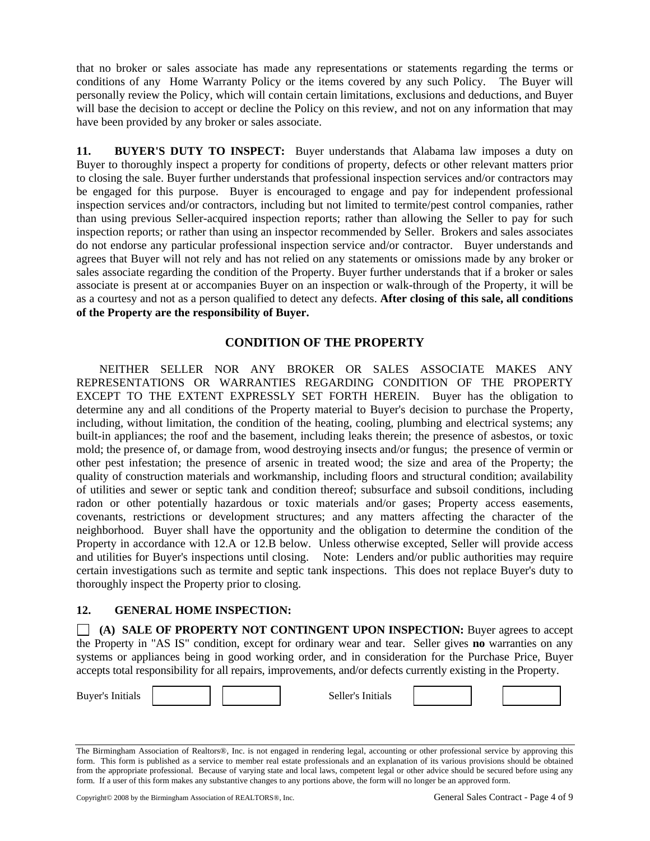that no broker or sales associate has made any representations or statements regarding the terms or conditions of any Home Warranty Policy or the items covered by any such Policy. The Buyer will personally review the Policy, which will contain certain limitations, exclusions and deductions, and Buyer will base the decision to accept or decline the Policy on this review, and not on any information that may have been provided by any broker or sales associate.

**11. BUYER'S DUTY TO INSPECT:** Buyer understands that Alabama law imposes a duty on Buyer to thoroughly inspect a property for conditions of property, defects or other relevant matters prior to closing the sale. Buyer further understands that professional inspection services and/or contractors may be engaged for this purpose. Buyer is encouraged to engage and pay for independent professional inspection services and/or contractors, including but not limited to termite/pest control companies, rather than using previous Seller-acquired inspection reports; rather than allowing the Seller to pay for such inspection reports; or rather than using an inspector recommended by Seller. Brokers and sales associates do not endorse any particular professional inspection service and/or contractor. Buyer understands and agrees that Buyer will not rely and has not relied on any statements or omissions made by any broker or sales associate regarding the condition of the Property. Buyer further understands that if a broker or sales associate is present at or accompanies Buyer on an inspection or walk-through of the Property, it will be as a courtesy and not as a person qualified to detect any defects. **After closing of this sale, all conditions of the Property are the responsibility of Buyer.**

# **CONDITION OF THE PROPERTY**

NEITHER SELLER NOR ANY BROKER OR SALES ASSOCIATE MAKES ANY REPRESENTATIONS OR WARRANTIES REGARDING CONDITION OF THE PROPERTY EXCEPT TO THE EXTENT EXPRESSLY SET FORTH HEREIN. Buyer has the obligation to determine any and all conditions of the Property material to Buyer's decision to purchase the Property, including, without limitation, the condition of the heating, cooling, plumbing and electrical systems; any built-in appliances; the roof and the basement, including leaks therein; the presence of asbestos, or toxic mold; the presence of, or damage from, wood destroying insects and/or fungus; the presence of vermin or other pest infestation; the presence of arsenic in treated wood; the size and area of the Property; the quality of construction materials and workmanship, including floors and structural condition; availability of utilities and sewer or septic tank and condition thereof; subsurface and subsoil conditions, including radon or other potentially hazardous or toxic materials and/or gases; Property access easements, covenants, restrictions or development structures; and any matters affecting the character of the neighborhood. Buyer shall have the opportunity and the obligation to determine the condition of the Property in accordance with 12.A or 12.B below. Unless otherwise excepted, Seller will provide access and utilities for Buyer's inspections until closing. Note: Lenders and/or public authorities may require certain investigations such as termite and septic tank inspections. This does not replace Buyer's duty to thoroughly inspect the Property prior to closing.

# **12. GENERAL HOME INSPECTION:**

**(A) SALE OF PROPERTY NOT CONTINGENT UPON INSPECTION:** Buyer agrees to accept the Property in "AS IS" condition, except for ordinary wear and tear. Seller gives **no** warranties on any systems or appliances being in good working order, and in consideration for the Purchase Price, Buyer accepts total responsibility for all repairs, improvements, and/or defects currently existing in the Property.

Buyer's Initials and the Seller's Initials



The Birmingham Association of Realtors®, Inc. is not engaged in rendering legal, accounting or other professional service by approving this form. This form is published as a service to member real estate professionals and an explanation of its various provisions should be obtained from the appropriate professional. Because of varying state and local laws, competent legal or other advice should be secured before using any form. If a user of this form makes any substantive changes to any portions above, the form will no longer be an approved form.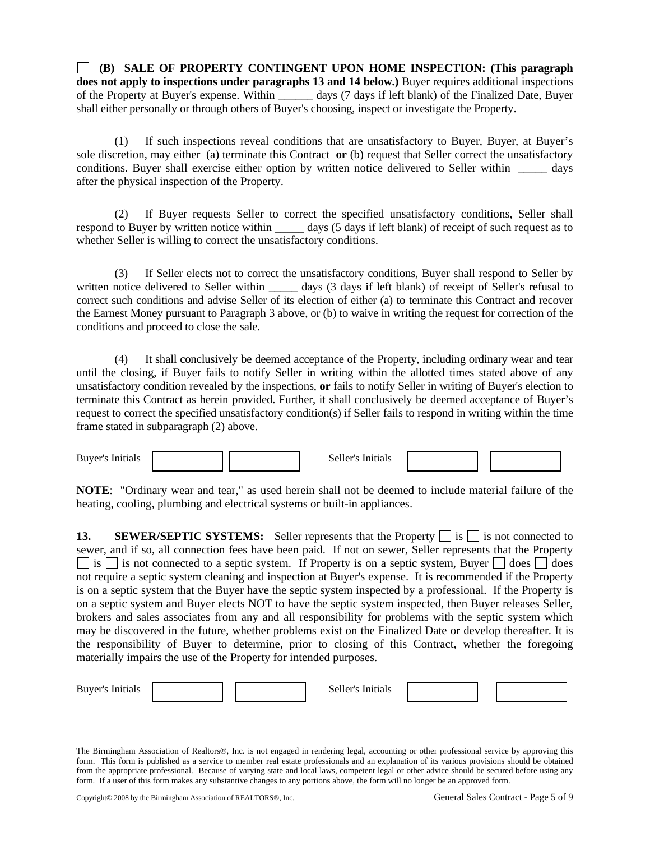**(B) SALE OF PROPERTY CONTINGENT UPON HOME INSPECTION: (This paragraph does not apply to inspections under paragraphs 13 and 14 below.)** Buyer requires additional inspections of the Property at Buyer's expense. Within \_\_\_\_\_\_ days (7 days if left blank) of the Finalized Date, Buyer shall either personally or through others of Buyer's choosing, inspect or investigate the Property.

(1) If such inspections reveal conditions that are unsatisfactory to Buyer, Buyer, at Buyer's sole discretion, may either (a) terminate this Contract **or** (b) request that Seller correct the unsatisfactory conditions. Buyer shall exercise either option by written notice delivered to Seller within \_\_\_\_\_ days after the physical inspection of the Property.

(2) If Buyer requests Seller to correct the specified unsatisfactory conditions, Seller shall respond to Buyer by written notice within days (5 days if left blank) of receipt of such request as to whether Seller is willing to correct the unsatisfactory conditions.

(3) If Seller elects not to correct the unsatisfactory conditions, Buyer shall respond to Seller by written notice delivered to Seller within \_\_\_\_\_\_ days (3 days if left blank) of receipt of Seller's refusal to correct such conditions and advise Seller of its election of either (a) to terminate this Contract and recover the Earnest Money pursuant to Paragraph 3 above, or (b) to waive in writing the request for correction of the conditions and proceed to close the sale.

(4) It shall conclusively be deemed acceptance of the Property, including ordinary wear and tear until the closing, if Buyer fails to notify Seller in writing within the allotted times stated above of any unsatisfactory condition revealed by the inspections, **or** fails to notify Seller in writing of Buyer's election to terminate this Contract as herein provided. Further, it shall conclusively be deemed acceptance of Buyer's request to correct the specified unsatisfactory condition(s) if Seller fails to respond in writing within the time frame stated in subparagraph (2) above.

Buyer's Initials and the seller's Initials Seller's Initials

**NOTE**: "Ordinary wear and tear," as used herein shall not be deemed to include material failure of the heating, cooling, plumbing and electrical systems or built-in appliances.

**13. SEWER/SEPTIC SYSTEMS:** Seller represents that the Property  $\Box$  is  $\Box$  is not connected to sewer, and if so, all connection fees have been paid. If not on sewer, Seller represents that the Property  $\Box$  is  $\Box$  is not connected to a septic system. If Property is on a septic system, Buyer  $\Box$  does  $\Box$  does not require a septic system cleaning and inspection at Buyer's expense. It is recommended if the Property is on a septic system that the Buyer have the septic system inspected by a professional. If the Property is on a septic system and Buyer elects NOT to have the septic system inspected, then Buyer releases Seller, brokers and sales associates from any and all responsibility for problems with the septic system which may be discovered in the future, whether problems exist on the Finalized Date or develop thereafter. It is the responsibility of Buyer to determine, prior to closing of this Contract, whether the foregoing materially impairs the use of the Property for intended purposes.

| <b>Buy</b> |  | $\sim$ 0.44 $^{\prime}$ $^{\prime}$<br>╌ |  |  |
|------------|--|------------------------------------------|--|--|
|            |  |                                          |  |  |

The Birmingham Association of Realtors®, Inc. is not engaged in rendering legal, accounting or other professional service by approving this form. This form is published as a service to member real estate professionals and an explanation of its various provisions should be obtained from the appropriate professional. Because of varying state and local laws, competent legal or other advice should be secured before using any form. If a user of this form makes any substantive changes to any portions above, the form will no longer be an approved form.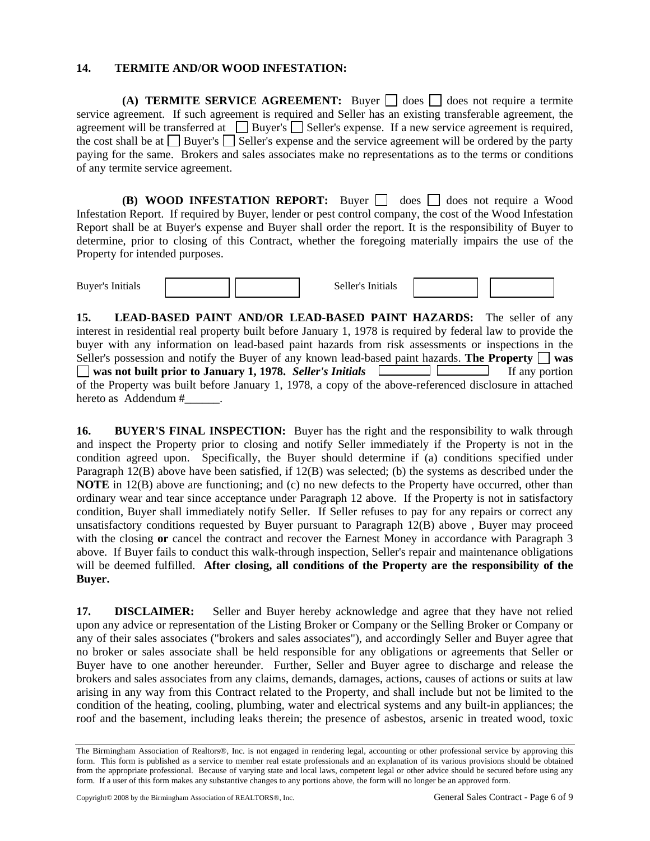#### **14. TERMITE AND/OR WOOD INFESTATION:**

**(A) TERMITE SERVICE AGREEMENT:** Buyer  $\Box$  does  $\Box$  does not require a termite service agreement. If such agreement is required and Seller has an existing transferable agreement, the agreement will be transferred at  $\Box$  Buyer's  $\Box$  Seller's expense. If a new service agreement is required, the cost shall be at  $\Box$  Buyer's  $\Box$  Seller's expense and the service agreement will be ordered by the party paying for the same. Brokers and sales associates make no representations as to the terms or conditions of any termite service agreement.

**(B) WOOD INFESTATION REPORT:** Buyer  $\Box$  does  $\Box$  does not require a Wood Infestation Report. If required by Buyer, lender or pest control company, the cost of the Wood Infestation Report shall be at Buyer's expense and Buyer shall order the report. It is the responsibility of Buyer to determine, prior to closing of this Contract, whether the foregoing materially impairs the use of the Property for intended purposes.

Buyer's Initials  $\left|\right|$  Seller's Initials

**15. LEAD-BASED PAINT AND/OR LEAD-BASED PAINT HAZARDS:** The seller of any interest in residential real property built before January 1, 1978 is required by federal law to provide the buyer with any information on lead-based paint hazards from risk assessments or inspections in the Seller's possession and notify the Buyer of any known lead-based paint hazards. **The Property**  $\Box$  was  **was not built prior to January 1, 1978.** *Seller's Initials* **If any portion** If any portion of the Property was built before January 1, 1978, a copy of the above-referenced disclosure in attached hereto as Addendum # .

**16. BUYER'S FINAL INSPECTION:** Buyer has the right and the responsibility to walk through and inspect the Property prior to closing and notify Seller immediately if the Property is not in the condition agreed upon. Specifically, the Buyer should determine if (a) conditions specified under Paragraph 12(B) above have been satisfied, if 12(B) was selected; (b) the systems as described under the **NOTE** in 12(B) above are functioning; and (c) no new defects to the Property have occurred, other than ordinary wear and tear since acceptance under Paragraph 12 above. If the Property is not in satisfactory condition, Buyer shall immediately notify Seller. If Seller refuses to pay for any repairs or correct any unsatisfactory conditions requested by Buyer pursuant to Paragraph 12(B) above , Buyer may proceed with the closing **or** cancel the contract and recover the Earnest Money in accordance with Paragraph 3 above. If Buyer fails to conduct this walk-through inspection, Seller's repair and maintenance obligations will be deemed fulfilled. **After closing, all conditions of the Property are the responsibility of the Buyer.** 

**17. DISCLAIMER:** Seller and Buyer hereby acknowledge and agree that they have not relied upon any advice or representation of the Listing Broker or Company or the Selling Broker or Company or any of their sales associates ("brokers and sales associates"), and accordingly Seller and Buyer agree that no broker or sales associate shall be held responsible for any obligations or agreements that Seller or Buyer have to one another hereunder. Further, Seller and Buyer agree to discharge and release the brokers and sales associates from any claims, demands, damages, actions, causes of actions or suits at law arising in any way from this Contract related to the Property, and shall include but not be limited to the condition of the heating, cooling, plumbing, water and electrical systems and any built-in appliances; the roof and the basement, including leaks therein; the presence of asbestos, arsenic in treated wood, toxic

The Birmingham Association of Realtors®, Inc. is not engaged in rendering legal, accounting or other professional service by approving this form. This form is published as a service to member real estate professionals and an explanation of its various provisions should be obtained from the appropriate professional. Because of varying state and local laws, competent legal or other advice should be secured before using any form. If a user of this form makes any substantive changes to any portions above, the form will no longer be an approved form.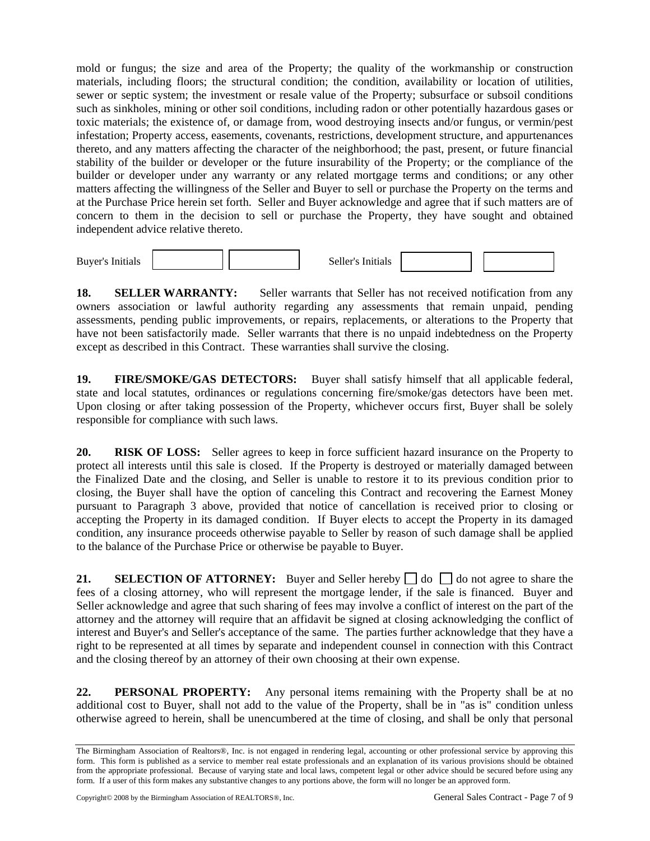mold or fungus; the size and area of the Property; the quality of the workmanship or construction materials, including floors; the structural condition; the condition, availability or location of utilities, sewer or septic system; the investment or resale value of the Property; subsurface or subsoil conditions such as sinkholes, mining or other soil conditions, including radon or other potentially hazardous gases or toxic materials; the existence of, or damage from, wood destroying insects and/or fungus, or vermin/pest infestation; Property access, easements, covenants, restrictions, development structure, and appurtenances thereto, and any matters affecting the character of the neighborhood; the past, present, or future financial stability of the builder or developer or the future insurability of the Property; or the compliance of the builder or developer under any warranty or any related mortgage terms and conditions; or any other matters affecting the willingness of the Seller and Buyer to sell or purchase the Property on the terms and at the Purchase Price herein set forth. Seller and Buyer acknowledge and agree that if such matters are of concern to them in the decision to sell or purchase the Property, they have sought and obtained independent advice relative thereto.

Buyer's Initials  $\vert$  Seller's Initials

**18. SELLER WARRANTY:** Seller warrants that Seller has not received notification from any owners association or lawful authority regarding any assessments that remain unpaid, pending assessments, pending public improvements, or repairs, replacements, or alterations to the Property that have not been satisfactorily made. Seller warrants that there is no unpaid indebtedness on the Property except as described in this Contract. These warranties shall survive the closing.

**19. FIRE/SMOKE/GAS DETECTORS:** Buyer shall satisfy himself that all applicable federal, state and local statutes, ordinances or regulations concerning fire/smoke/gas detectors have been met. Upon closing or after taking possession of the Property, whichever occurs first, Buyer shall be solely responsible for compliance with such laws.

**20. RISK OF LOSS:** Seller agrees to keep in force sufficient hazard insurance on the Property to protect all interests until this sale is closed. If the Property is destroyed or materially damaged between the Finalized Date and the closing, and Seller is unable to restore it to its previous condition prior to closing, the Buyer shall have the option of canceling this Contract and recovering the Earnest Money pursuant to Paragraph 3 above, provided that notice of cancellation is received prior to closing or accepting the Property in its damaged condition. If Buyer elects to accept the Property in its damaged condition, any insurance proceeds otherwise payable to Seller by reason of such damage shall be applied to the balance of the Purchase Price or otherwise be payable to Buyer.

**21. SELECTION OF ATTORNEY:** Buyer and Seller hereby  $\Box$  do  $\Box$  do not agree to share the fees of a closing attorney, who will represent the mortgage lender, if the sale is financed. Buyer and Seller acknowledge and agree that such sharing of fees may involve a conflict of interest on the part of the attorney and the attorney will require that an affidavit be signed at closing acknowledging the conflict of interest and Buyer's and Seller's acceptance of the same. The parties further acknowledge that they have a right to be represented at all times by separate and independent counsel in connection with this Contract and the closing thereof by an attorney of their own choosing at their own expense.

**22. PERSONAL PROPERTY:** Any personal items remaining with the Property shall be at no additional cost to Buyer, shall not add to the value of the Property, shall be in "as is" condition unless otherwise agreed to herein, shall be unencumbered at the time of closing, and shall be only that personal

The Birmingham Association of Realtors®, Inc. is not engaged in rendering legal, accounting or other professional service by approving this form. This form is published as a service to member real estate professionals and an explanation of its various provisions should be obtained from the appropriate professional. Because of varying state and local laws, competent legal or other advice should be secured before using any form. If a user of this form makes any substantive changes to any portions above, the form will no longer be an approved form.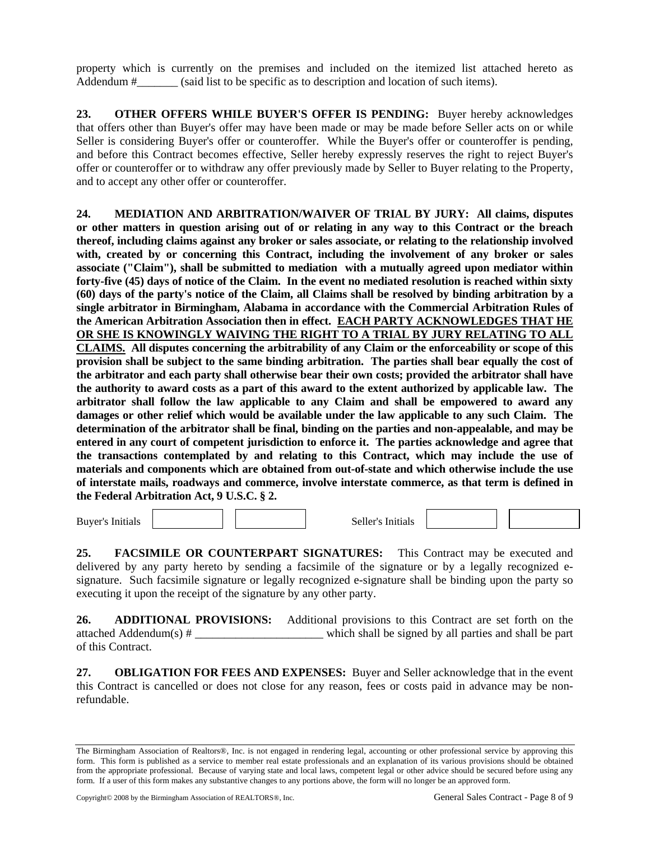property which is currently on the premises and included on the itemized list attached hereto as Addendum #  $\qquad$  (said list to be specific as to description and location of such items).

**23. OTHER OFFERS WHILE BUYER'S OFFER IS PENDING:** Buyer hereby acknowledges that offers other than Buyer's offer may have been made or may be made before Seller acts on or while Seller is considering Buyer's offer or counteroffer. While the Buyer's offer or counteroffer is pending, and before this Contract becomes effective, Seller hereby expressly reserves the right to reject Buyer's offer or counteroffer or to withdraw any offer previously made by Seller to Buyer relating to the Property, and to accept any other offer or counteroffer.

**24. MEDIATION AND ARBITRATION/WAIVER OF TRIAL BY JURY: All claims, disputes or other matters in question arising out of or relating in any way to this Contract or the breach thereof, including claims against any broker or sales associate, or relating to the relationship involved with, created by or concerning this Contract, including the involvement of any broker or sales associate ("Claim"), shall be submitted to mediation with a mutually agreed upon mediator within forty-five (45) days of notice of the Claim. In the event no mediated resolution is reached within sixty (60) days of the party's notice of the Claim, all Claims shall be resolved by binding arbitration by a single arbitrator in Birmingham, Alabama in accordance with the Commercial Arbitration Rules of the American Arbitration Association then in effect. EACH PARTY ACKNOWLEDGES THAT HE OR SHE IS KNOWINGLY WAIVING THE RIGHT TO A TRIAL BY JURY RELATING TO ALL CLAIMS. All disputes concerning the arbitrability of any Claim or the enforceability or scope of this provision shall be subject to the same binding arbitration. The parties shall bear equally the cost of the arbitrator and each party shall otherwise bear their own costs; provided the arbitrator shall have the authority to award costs as a part of this award to the extent authorized by applicable law. The arbitrator shall follow the law applicable to any Claim and shall be empowered to award any damages or other relief which would be available under the law applicable to any such Claim. The determination of the arbitrator shall be final, binding on the parties and non-appealable, and may be entered in any court of competent jurisdiction to enforce it. The parties acknowledge and agree that the transactions contemplated by and relating to this Contract, which may include the use of materials and components which are obtained from out-of-state and which otherwise include the use of interstate mails, roadways and commerce, involve interstate commerce, as that term is defined in the Federal Arbitration Act, 9 U.S.C. § 2.** 

Buyer's Initials Seller's Initials Seller's Initials

**25. FACSIMILE OR COUNTERPART SIGNATURES:** This Contract may be executed and delivered by any party hereto by sending a facsimile of the signature or by a legally recognized esignature. Such facsimile signature or legally recognized e-signature shall be binding upon the party so executing it upon the receipt of the signature by any other party.

**26. ADDITIONAL PROVISIONS:** Additional provisions to this Contract are set forth on the attached Addendum(s) # \_\_\_\_\_\_\_\_\_\_\_\_\_\_\_\_\_\_\_\_\_\_ which shall be signed by all parties and shall be part of this Contract.

**27. OBLIGATION FOR FEES AND EXPENSES:** Buyer and Seller acknowledge that in the event this Contract is cancelled or does not close for any reason, fees or costs paid in advance may be nonrefundable.

The Birmingham Association of Realtors®, Inc. is not engaged in rendering legal, accounting or other professional service by approving this form. This form is published as a service to member real estate professionals and an explanation of its various provisions should be obtained from the appropriate professional. Because of varying state and local laws, competent legal or other advice should be secured before using any form. If a user of this form makes any substantive changes to any portions above, the form will no longer be an approved form.